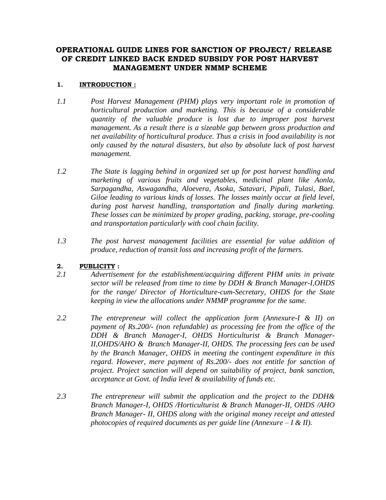## **OPERATIONAL GUIDE LINES FOR SANCTION OF PROJECT/ RELEASE OF CREDIT LINKED BACK ENDED SUBSIDY FOR POST HARVEST MANAGEMENT UNDER NMMP SCHEME**

### **1. INTRODUCTION :**

- *1.1 Post Harvest Management (PHM) plays very important role in promotion of horticultural production and marketing. This is because of a considerable quantity of the valuable produce is lost due to improper post harvest management. As a result there is a sizeable gap between gross production and net availability of horticultural produce. Thus a crisis in food availability is not only caused by the natural disasters, but also by absolute lack of post harvest management.*
- *1.2 The State is lagging behind in organized set up for post harvest handling and marketing of various fruits and vegetables, medicinal plant like Aonla, Sarpagandha, Aswagandha, Aloevera, Asoka, Satavari, Pipali, Tulasi, Bael, Giloe leading to various kinds of losses. The losses mainly occur at field level, during post harvest handling, transportation and finally during marketing. These losses can be minimized by proper grading, packing, storage, pre-cooling and transportation particularly with cool chain facility.*
- *1.3 The post harvest management facilities are essential for value addition of produce, reduction of transit loss and increasing profit of the farmers.*

### **2. PUBLICITY :**

- *2.1 Advertisement for the establishment/acquiring different PHM units in private sector will be released from time to time by DDH & Branch Manager-I,OHDS for the range/ Director of Horticulture-cum-Secretary, OHDS for the State keeping in view the allocations under NMMP programme for the same.*
- *2.2 The entrepreneur will collect the application form (Annexure-I & II) on payment of Rs.200/- (non refundable) as processing fee from the office of the DDH & Branch Manager-I, OHDS Horticulturist & Branch Manager-II,OHDS/AHO & Branch Manager-II, OHDS. The processing fees can be used by the Branch Manager, OHDS in meeting the contingent expenditure in this regard. However, mere payment of Rs.200/- does not entitle for sanction of project. Project sanction will depend on suitability of project, bank sanction, acceptance at Govt. of India level & availability of funds etc.*
- *2.3 The entrepreneur will submit the application and the project to the DDH& Branch Manager-I, OHDS /Horticulturist & Branch Manager-II, OHDS /AHO Branch Manager- II, OHDS along with the original money receipt and attested photocopies of required documents as per guide line (Annexure – I & II).*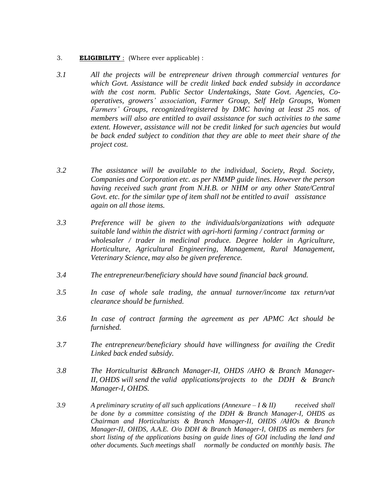#### 3. **ELIGIBILITY** : (Where ever applicable) :

- *3.1 All the projects will be entrepreneur driven through commercial ventures for which Govt. Assistance will be credit linked back ended subsidy in accordance with the cost norm. Public Sector Undertakings, State Govt. Agencies, Cooperatives, growers' association, Farmer Group, Self Help Groups, Women Farmers' Groups, recognized/registered by DMC having at least 25 nos. of members will also are entitled to avail assistance for such activities to the same extent. However, assistance will not be credit linked for such agencies but would be back ended subject to condition that they are able to meet their share of the project cost.*
- *3.2 The assistance will be available to the individual, Society, Regd. Society, Companies and Corporation etc. as per NMMP guide lines. However the person having received such grant from N.H.B. or NHM or any other State/Central Govt. etc. for the similar type of item shall not be entitled to avail assistance again on all those items.*
- *3.3 Preference will be given to the individuals/organizations with adequate suitable land within the district with agri-horti farming / contract farming or wholesaler / trader in medicinal produce. Degree holder in Agriculture, Horticulture, Agricultural Engineering, Management, Rural Management, Veterinary Science, may also be given preference.*
- *3.4 The entrepreneur/beneficiary should have sound financial back ground.*
- *3.5 In case of whole sale trading, the annual turnover/income tax return/vat clearance should be furnished.*
- *3.6 In case of contract farming the agreement as per APMC Act should be furnished.*
- *3.7 The entrepreneur/beneficiary should have willingness for availing the Credit Linked back ended subsidy.*
- *3.8 The Horticulturist &Branch Manager-II, OHDS /AHO & Branch Manager-II, OHDS will send the valid applications/projects to the DDH & Branch Manager-I, OHDS.*
- *3.9 A preliminary scrutiny of all such applications (Annexure – I & II) received shall be done by a committee consisting of the DDH & Branch Manager-I, OHDS as Chairman and Horticulturists & Branch Manager-II, OHDS /AHOs & Branch Manager-II, OHDS, A.A.E. O/o DDH & Branch Manager-I, OHDS as members for short listing of the applications basing on guide lines of GOI including the land and other documents. Such meetings shall normally be conducted on monthly basis. The*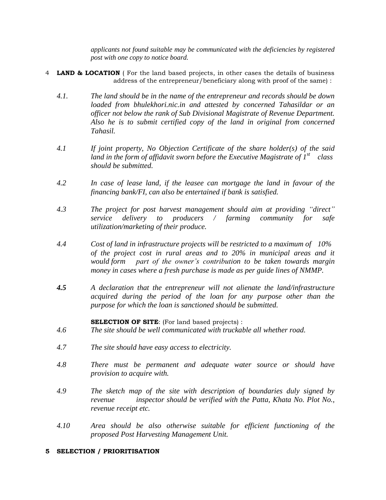*applicants not found suitable may be communicated with the deficiencies by registered post with one copy to notice board.*

- 4 **LAND & LOCATION** ( For the land based projects, in other cases the details of business address of the entrepreneur/beneficiary along with proof of the same) :
	- *4.1. The land should be in the name of the entrepreneur and records should be down loaded from bhulekhori.nic.in and attested by concerned Tahasildar or an officer not below the rank of Sub Divisional Magistrate of Revenue Department. Also he is to submit certified copy of the land in original from concerned Tahasil.*
	- *4.1 If joint property, No Objection Certificate of the share holder(s) of the said land in the form of affidavit sworn before the Executive Magistrate of 1st class should be submitted.*
	- *4.2 In case of lease land, if the leasee can mortgage the land in favour of the financing bank/FI, can also be entertained if bank is satisfied.*
	- *4.3 The project for post harvest management should aim at providing "direct" service delivery to producers / farming community for safe utilization/marketing of their produce.*
	- *4.4 Cost of land in infrastructure projects will be restricted to a maximum of 10% of the project cost in rural areas and to 20% in municipal areas and it would form part of the owner's contribution to be taken towards margin money in cases where a fresh purchase is made as per guide lines of NMMP.*
	- *4.5 A declaration that the entrepreneur will not alienate the land/infrastructure acquired during the period of the loan for any purpose other than the purpose for which the loan is sanctioned should be submitted.*

#### **SELECTION OF SITE**: (For land based projects) :

- *4.6 The site should be well communicated with truckable all whether road.*
- *4.7 The site should have easy access to electricity.*
- *4.8 There must be permanent and adequate water source or should have provision to acquire with.*
- *4.9 The sketch map of the site with description of boundaries duly signed by revenue inspector should be verified with the Patta, Khata No. Plot No., revenue receipt etc.*
- *4.10 Area should be also otherwise suitable for efficient functioning of the proposed Post Harvesting Management Unit.*

#### **5 SELECTION / PRIORITISATION**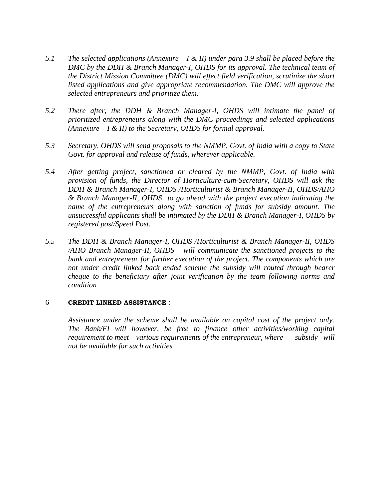- *5.1 The selected applications (Annexure – I & II) under para 3.9 shall be placed before the DMC by the DDH & Branch Manager-I, OHDS for its approval. The technical team of the District Mission Committee (DMC) will effect field verification, scrutinize the short listed applications and give appropriate recommendation. The DMC will approve the selected entrepreneurs and prioritize them.*
- *5.2 There after, the DDH & Branch Manager-I, OHDS will intimate the panel of prioritized entrepreneurs along with the DMC proceedings and selected applications (Annexure – I & II) to the Secretary, OHDS for formal approval.*
- *5.3 Secretary, OHDS will send proposals to the NMMP, Govt. of India with a copy to State Govt. for approval and release of funds, wherever applicable.*
- *5.4 After getting project, sanctioned or cleared by the NMMP, Govt. of India with provision of funds, the Director of Horticulture-cum-Secretary, OHDS will ask the DDH & Branch Manager-I, OHDS /Horticulturist & Branch Manager-II, OHDS/AHO & Branch Manager-II, OHDS to go ahead with the project execution indicating the name of the entrepreneurs along with sanction of funds for subsidy amount. The unsuccessful applicants shall be intimated by the DDH & Branch Manager-I, OHDS by registered post/Speed Post.*
- *5.5 The DDH & Branch Manager-I, OHDS /Horticulturist & Branch Manager-II, OHDS /AHO Branch Manager-II, OHDS will communicate the sanctioned projects to the bank and entrepreneur for further execution of the project. The components which are not under credit linked back ended scheme the subsidy will routed through bearer cheque to the beneficiary after joint verification by the team following norms and condition*

#### 6 **CREDIT LINKED ASSISTANCE** :

*Assistance under the scheme shall be available on capital cost of the project only. The Bank/FI will however, be free to finance other activities/working capital requirement to meet* various requirements of the entrepreneur, where subsidy will *not be available for such activities.*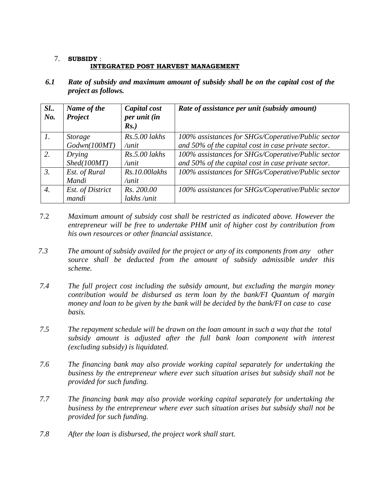## 7. **SUBSIDY** : **INTEGRATED POST HARVEST MANAGEMENT**

*6.1 Rate of subsidy and maximum amount of subsidy shall be on the capital cost of the project as follows.* 

| SL.<br>No.       | Name of the<br>Project | Capital cost<br>per unit (in<br>$Rs.$ ) | Rate of assistance per unit (subsidy amount)        |
|------------------|------------------------|-----------------------------------------|-----------------------------------------------------|
| $\mathcal{I}$ .  | <i>Storage</i>         | $Rs.5.00$ lakhs                         | 100% assistances for SHGs/Coperative/Public sector  |
|                  | Godwn(100MT)           | /unit                                   | and 50% of the capital cost in case private sector. |
|                  | Drying                 | $Rs.5.00$ lakhs                         | 100% assistances for SHGs/Coperative/Public sector  |
|                  | Shed(100MT)            | /unit                                   | and 50% of the capital cost in case private sector. |
| $\mathfrak{Z}$ . | Est. of Rural          | Rs.10.00 lakhs                          | 100% assistances for SHGs/Coperative/Public sector  |
|                  | Mandi                  | /unit                                   |                                                     |
| 4.               | Est. of District       | Rs. 200.00                              | 100% assistances for SHGs/Coperative/Public sector  |
|                  | mandi                  | lakhs /unit                             |                                                     |

- 7.2 *Maximum amount of subsidy cost shall be restricted as indicated above. However the entrepreneur will be free to undertake PHM unit of higher cost by contribution from his own resources or other financial assistance.*
- *7.3 The amount of subsidy availed for the project or any of its components from any other source shall be deducted from the amount of subsidy admissible under this scheme.*
- *7.4 The full project cost including the subsidy amount, but excluding the margin money contribution would be disbursed as term loan by the bank/FI Quantum of margin money and loan to be given by the bank will be decided by the bank/FI on case to case basis.*
- *7.5 The repayment schedule will be drawn on the loan amount in such a way that the total subsidy amount is adjusted after the full bank loan component with interest (excluding subsidy) is liquidated.*
- *7.6 The financing bank may also provide working capital separately for undertaking the business by the entrepreneur where ever such situation arises but subsidy shall not be provided for such funding.*
- *7.7 The financing bank may also provide working capital separately for undertaking the business by the entrepreneur where ever such situation arises but subsidy shall not be provided for such funding.*
- *7.8 After the loan is disbursed, the project work shall start.*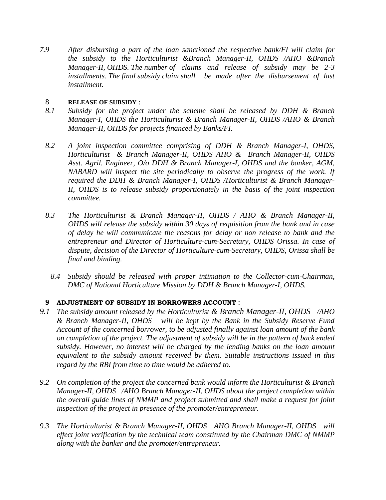*7.9 After disbursing a part of the loan sanctioned the respective bank/FI will claim for the subsidy to the Horticulturist &Branch Manager-II, OHDS /AHO &Branch Manager-II, OHDS. The number of claims and release of subsidy may be 2-3 installments. The final subsidy claim shall be made after the disbursement of last installment.*

## 8 **RELEASE OF SUBSIDY** :

- *8.1 Subsidy for the project under the scheme shall be released by DDH & Branch Manager-I, OHDS the Horticulturist & Branch Manager-II, OHDS /AHO & Branch Manager-II, OHDS for projects financed by Banks/FI.*
- *8.2 A joint inspection committee comprising of DDH & Branch Manager-I, OHDS, Horticulturist & Branch Manager-II, OHDS AHO & Branch Manager-II, OHDS Asst. Agril. Engineer, O/o DDH & Branch Manager-I, OHDS and the banker, AGM, NABARD will inspect the site periodically to observe the progress of the work. If required the DDH & Branch Manager-I, OHDS /Horticulturist & Branch Manager-II, OHDS is to release subsidy proportionately in the basis of the joint inspection committee.*
- *8.3 The Horticulturist & Branch Manager-II, OHDS / AHO & Branch Manager-II, OHDS will release the subsidy within 30 days of requisition from the bank and in case of delay he will communicate the reasons for delay or non release to bank and the entrepreneur and Director of Horticulture-cum-Secretary, OHDS Orissa. In case of dispute, decision of the Director of Horticulture-cum-Secretary, OHDS, Orissa shall be final and binding.* 
	- *8.4 Subsidy should be released with proper intimation to the Collector-cum-Chairman, DMC of National Horticulture Mission by DDH & Branch Manager-I, OHDS.*

## **9 ADJUSTMENT OF SUBSIDY IN BORROWERS ACCOUNT** :

- *9.1 The subsidy amount released by the Horticulturist & Branch Manager-II, OHDS /AHO & Branch Manager-II, OHDS will be kept by the Bank in the Subsidy Reserve Fund Account of the concerned borrower, to be adjusted finally against loan amount of the bank on completion of the project. The adjustment of subsidy will be in the pattern of back ended subsidy. However, no interest will be charged by the lending banks on the loan amount equivalent to the subsidy amount received by them. Suitable instructions issued in this regard by the RBI from time to time would be adhered to.*
- *9.2 On completion of the project the concerned bank would inform the Horticulturist & Branch Manager-II, OHDS /AHO Branch Manager-II, OHDS about the project completion within the overall guide lines of NMMP and project submitted and shall make a request for joint inspection of the project in presence of the promoter/entrepreneur.*
- *9.3 The Horticulturist & Branch Manager-II, OHDS AHO Branch Manager-II, OHDS will effect joint verification by the technical team constituted by the Chairman DMC of NMMP along with the banker and the promoter/entrepreneur.*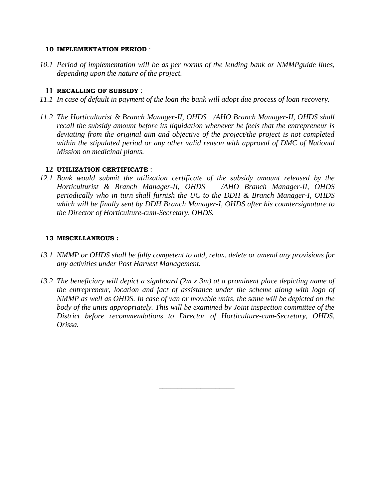#### **10 IMPLEMENTATION PERIOD** :

*10.1 Period of implementation will be as per norms of the lending bank or NMMPguide lines, depending upon the nature of the project.* 

#### **11 RECALLING OF SUBSIDY** :

- *11.1 In case of default in payment of the loan the bank will adopt due process of loan recovery.*
- *11.2 The Horticulturist & Branch Manager-II, OHDS /AHO Branch Manager-II, OHDS shall recall the subsidy amount before its liquidation whenever he feels that the entrepreneur is deviating from the original aim and objective of the project/the project is not completed within the stipulated period or any other valid reason with approval of DMC of National Mission on medicinal plants.*

#### **12 UTILIZATION CERTIFICATE** :

*12.1 Bank would submit the utilization certificate of the subsidy amount released by the Horticulturist & Branch Manager-II, OHDS /AHO Branch Manager-II, OHDS periodically who in turn shall furnish the UC to the DDH & Branch Manager-I, OHDS which will be finally sent by DDH Branch Manager-I, OHDS after his countersignature to the Director of Horticulture-cum-Secretary, OHDS.* 

#### **13 MISCELLANEOUS :**

- *13.1 NMMP or OHDS shall be fully competent to add, relax, delete or amend any provisions for any activities under Post Harvest Management.*
- *13.2 The beneficiary will depict a signboard (2m x 3m) at a prominent place depicting name of the entrepreneur, location and fact of assistance under the scheme along with logo of NMMP as well as OHDS. In case of van or movable units, the same will be depicted on the*  body of the units appropriately. This will be examined by Joint inspection committee of the *District before recommendations to Director of Horticulture-cum-Secretary, OHDS, Orissa.*

 *\_\_\_\_\_\_\_\_\_\_\_\_\_\_\_\_\_\_\_\_*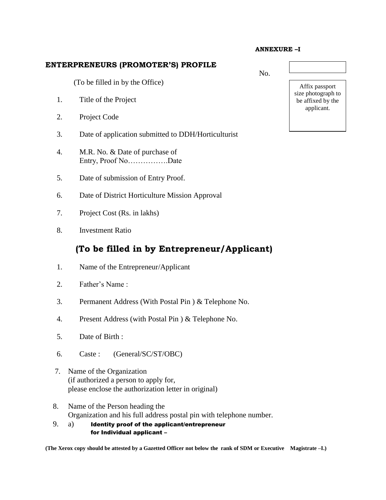#### **ANNEXURE –I**

#### **ENTERPRENEURS (PROMOTER'S) PROFILE**

(To be filled in by the Office)

- 1. Title of the Project
- 2. Project Code
- 3. Date of application submitted to DDH/Horticulturist
- 4. M.R. No. & Date of purchase of Entry, Proof No…………….Date
- 5. Date of submission of Entry Proof.
- 6. Date of District Horticulture Mission Approval
- 7. Project Cost (Rs. in lakhs)
- 8. Investment Ratio

# **(To be filled in by Entrepreneur/Applicant)**

- 1. Name of the Entrepreneur/Applicant
- 2. Father's Name :
- 3. Permanent Address (With Postal Pin ) & Telephone No.
- 4. Present Address (with Postal Pin ) & Telephone No.
- 5. Date of Birth :
- 6. Caste : (General/SC/ST/OBC)
- 7. Name of the Organization (if authorized a person to apply for, please enclose the authorization letter in original)
- 8. Name of the Person heading the Organization and his full address postal pin with telephone number.
- 9. a) Identity proof of the applicant/entrepreneur for Individual applicant –

**(The Xerox copy should be attested by a Gazetted Officer not below the rank of SDM or Executive Magistrate –I.)**

No.

Affix passport size photograph to be affixed by the applicant.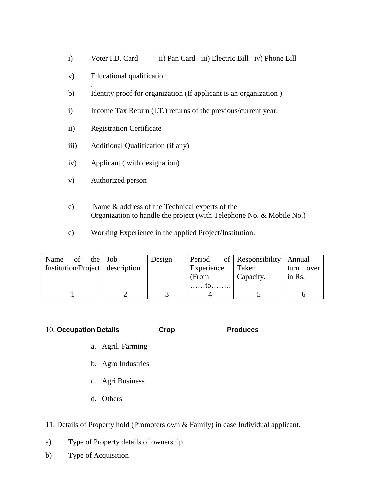- i) Voter I.D. Card ii) Pan Card iii) Electric Bill iv) Phone Bill
- v) Educational qualification
- . b) Identity proof for organization (If applicant is an organization )
- i) Income Tax Return (I.T.) returns of the previous/current year.
- ii) Registration Certificate
- iii) Additional Qualification (if any)
- iv) Applicant ( with designation)
- v) Authorized person
- c) Name & address of the Technical experts of the Organization to handle the project (with Telephone No. & Mobile No.)
- c) Working Experience in the applied Project/Institution.

| Name of the Job                 | Design | Period     | of   Responsibility   Annual |              |
|---------------------------------|--------|------------|------------------------------|--------------|
| Institution/Project description |        | Experience | Taken                        | over<br>turn |
|                                 |        | (From      | Capacity.                    | in Rs.       |
|                                 |        |            |                              |              |
|                                 |        |            |                              |              |

10. **Occupation Details Crop Produces**

- a. Agril. Farming
- b. Agro Industries
- c. Agri Business
- d. Others

11. Details of Property hold (Promoters own & Family) in case Individual applicant.

- a) Type of Property details of ownership
- b) Type of Acquisition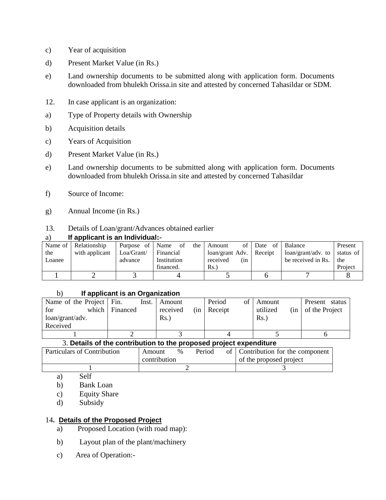- c) Year of acquisition
- d) Present Market Value (in Rs.)
- e) Land ownership documents to be submitted along with application form. Documents downloaded from bhulekh Orissa.in site and attested by concerned Tahasildar or SDM.
- 12. In case applicant is an organization:
- a) Type of Property details with Ownership
- b) Acquisition details
- c) Years of Acquisition
- d) Present Market Value (in Rs.)
- e) Land ownership documents to be submitted along with application form. Documents downloaded from bhulekh Orissa.in site and attested by concerned Tahasildar
- f) Source of Income:
- g) Annual Income (in Rs.)

### 13. Details of Loan/grant/Advances obtained earlier

#### a) **If applicant is an Individual:-**

|        | Name of   Relationship | Purpose of | the<br>Name<br>of | Amount                    | of Date of | Balance                     | Present   |
|--------|------------------------|------------|-------------------|---------------------------|------------|-----------------------------|-----------|
| the    | with applicant         | Loa/Grant/ | Financial         | loan/grant Adv.   Receipt |            | $\alpha$ loan/grant/adv. to | status of |
| Loanee |                        | advance    | Institution       | received<br>(in           |            | be received in Rs.          | the       |
|        |                        |            | financed.         | Rs.                       |            |                             | Project   |
|        |                        |            |                   |                           |            |                             |           |

#### b) **If applicant is an Organization**

| Name of the Project Fin. | Inst.    | Amount          | Period<br>of 1 | Amount               | Present<br>status |
|--------------------------|----------|-----------------|----------------|----------------------|-------------------|
| which<br>for             | Financed | received<br>(in | Receipt        | utilized<br>(in      | of the Project    |
| loan/grant/adv.          |          | Rs.             |                | $\operatorname{Rs.}$ |                   |
| Received                 |          |                 |                |                      |                   |
|                          |          |                 |                |                      |                   |

#### 3. **Details of the contribution to the proposed project expenditure**

| Particulars of Contribution | Amount       | $\%$ | Period | of Contribution for the component |
|-----------------------------|--------------|------|--------|-----------------------------------|
|                             | contribution |      |        | of the proposed project           |
|                             |              |      |        |                                   |

a) Self

- b) Bank Loan
- c) Equity Share
- d) Subsidy

### 14**. Details of the Proposed Project**

- a) Proposed Location (with road map):
- b) Layout plan of the plant/machinery
- c) Area of Operation:-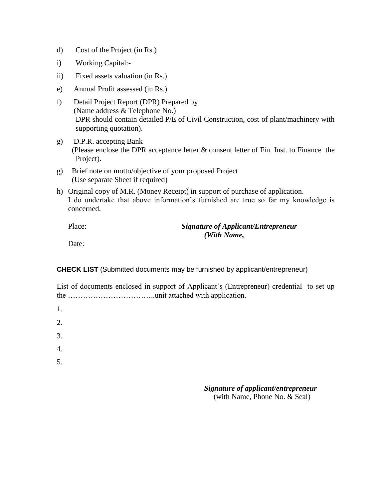- d) Cost of the Project (in Rs.)
- i) Working Capital:-
- ii) Fixed assets valuation (in Rs.)
- e) Annual Profit assessed (in Rs.)
- f) Detail Project Report (DPR) Prepared by (Name address & Telephone No.) DPR should contain detailed P/E of Civil Construction, cost of plant/machinery with supporting quotation).
- g) D.P.R. accepting Bank (Please enclose the DPR acceptance letter & consent letter of Fin. Inst. to Finance the Project).
- g) Brief note on motto/objective of your proposed Project (Use separate Sheet if required)
- h) Original copy of M.R. (Money Receipt) in support of purchase of application. I do undertake that above information's furnished are true so far my knowledge is concerned.

## **Signature of Applicant/Entrepreneur** *(With Name,*

Date:

**CHECK LIST** (Submitted documents may be furnished by applicant/entrepreneur)

| List of documents enclosed in support of Applicant's (Entrepreneur) credential to set up |  |
|------------------------------------------------------------------------------------------|--|
|                                                                                          |  |

| 1. |  |  |  |
|----|--|--|--|
| 2. |  |  |  |
| 3. |  |  |  |
| 4. |  |  |  |
| 5. |  |  |  |
|    |  |  |  |

### *Signature of applicant/entrepreneur* (with Name, Phone No. & Seal)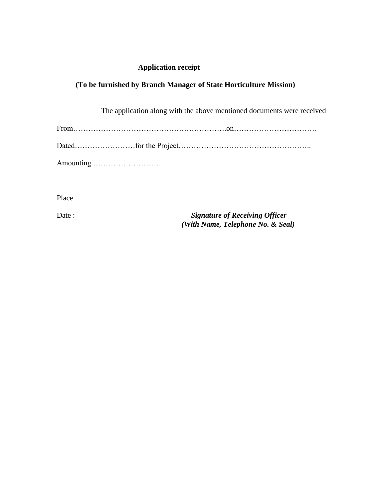## **Application receipt**

# **(To be furnished by Branch Manager of State Horticulture Mission)**

| The application along with the above mentioned documents were received |
|------------------------------------------------------------------------|
|                                                                        |
|                                                                        |
|                                                                        |

Place

Date : *Signature of Receiving Officer (With Name, Telephone No. & Seal)*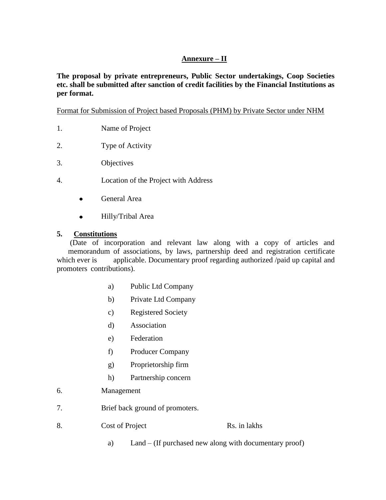## **Annexure – II**

**The proposal by private entrepreneurs, Public Sector undertakings, Coop Societies etc. shall be submitted after sanction of credit facilities by the Financial Institutions as per format.** 

Format for Submission of Project based Proposals (PHM) by Private Sector under NHM

- 1. Name of Project
- 2. Type of Activity
- 3. Objectives
- 4. Location of the Project with Address
	- General Area  $\bullet$
	- Hilly/Tribal Area  $\bullet$

## **5. Constitutions**

(Date of incorporation and relevant law along with a copy of articles and memorandum of associations, by laws, partnership deed and registration certificate which ever is applicable. Documentary proof regarding authorized /paid up capital and promoters contributions).

- a) Public Ltd Company
- b) Private Ltd Company
- c) Registered Society
- d) Association
- e) Federation
- f) Producer Company
- g) Proprietorship firm
- h) Partnership concern
- 6. Management
- 7. Brief back ground of promoters.
- 8. Cost of Project Rs. in lakhs
	- a) Land (If purchased new along with documentary proof)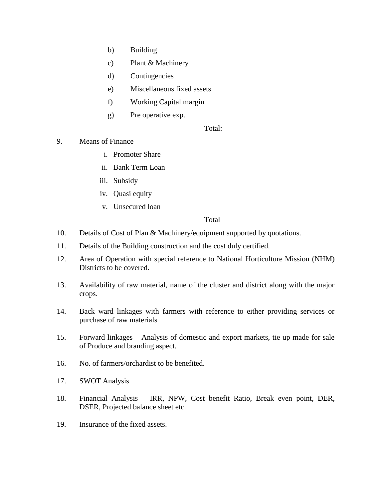- b) Building
- c) Plant & Machinery
- d) Contingencies
- e) Miscellaneous fixed assets
- f) Working Capital margin
- g) Pre operative exp.

Total:

- 9. Means of Finance
	- i. Promoter Share
	- ii. Bank Term Loan
	- iii. Subsidy
	- iv. Quasi equity
	- v. Unsecured loan

### Total

- 10. Details of Cost of Plan & Machinery/equipment supported by quotations.
- 11. Details of the Building construction and the cost duly certified.
- 12. Area of Operation with special reference to National Horticulture Mission (NHM) Districts to be covered.
- 13. Availability of raw material, name of the cluster and district along with the major crops.
- 14. Back ward linkages with farmers with reference to either providing services or purchase of raw materials
- 15. Forward linkages Analysis of domestic and export markets, tie up made for sale of Produce and branding aspect.
- 16. No. of farmers/orchardist to be benefited.
- 17. SWOT Analysis
- 18. Financial Analysis IRR, NPW, Cost benefit Ratio, Break even point, DER, DSER, Projected balance sheet etc.
- 19. Insurance of the fixed assets.